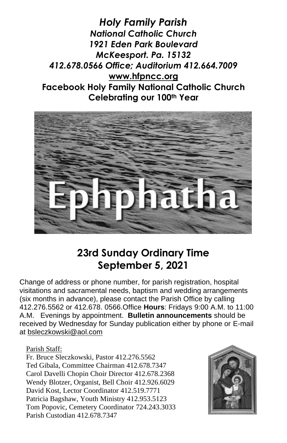*Holy Family Parish National Catholic Church 1921 Eden Park Boulevard McKeesport. Pa. 15132 412.678.0566 Office; Auditorium 412.664.7009* **[www.hfpncc.org](http://www.hfpncc.org/) Facebook Holy Family National Catholic Church Celebrating our 100th Year**



# **23rd Sunday Ordinary Time September 5, 2021**

Change of address or phone number, for parish registration, hospital visitations and sacramental needs, baptism and wedding arrangements (six months in advance), please contact the Parish Office by calling 412.276.5562 or 412.678. 0566.Office **Hours**: Fridays 9:00 A.M. to 11:00 A.M. Evenings by appointment. **Bulletin announcements** should be received by Wednesday for Sunday publication either by phone or E-mail at [bsleczkowski@aol.com](mailto:bsleczkowski@aol.com)

Parish Staff:

Fr. Bruce Sleczkowski, Pastor 412.276.5562 Ted Gibala, Committee Chairman 412.678.7347 Carol Davelli Chopin Choir Director 412.678.2368 Wendy Blotzer, Organist, Bell Choir 412.926.6029 David Kost, Lector Coordinator 412.519.7771 Patricia Bagshaw, Youth Ministry 412.953.5123 Tom Popovic, Cemetery Coordinator 724.243.3033 Parish Custodian 412.678.7347

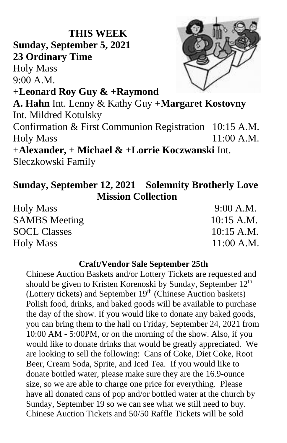# **THIS WEEK Sunday, September 5, 2021 23 Ordinary Time** Holy Mass 9:00 A.M. **+Leonard Roy Guy & +Raymond A. Hahn** Int. Lenny & Kathy Guy **+Margaret Kostovny** Int. Mildred Kotulsky Confirmation & First Communion Registration 10:15 A.M. Holy Mass 11:00 A.M. **+Alexander, + Michael & +Lorrie Koczwanski** Int. Sleczkowski Family

## **Sunday, September 12, 2021 Solemnity Brotherly Love Mission Collection**

| <b>Holy Mass</b>     | 9:00 A.M.    |
|----------------------|--------------|
| <b>SAMBS</b> Meeting | $10:15$ A.M. |
| <b>SOCL Classes</b>  | $10:15$ A.M. |
| <b>Holy Mass</b>     | $11:00$ A.M. |

#### **Craft/Vendor Sale September 25th**

Chinese Auction Baskets and/or Lottery Tickets are requested and should be given to Kristen Korenoski by Sunday, September  $12<sup>th</sup>$ (Lottery tickets) and September 19<sup>th</sup> (Chinese Auction baskets) Polish food, drinks, and baked goods will be available to purchase the day of the show. If you would like to donate any baked goods, you can bring them to the hall on Friday, September 24, 2021 from 10:00 AM - 5:00PM, or on the morning of the show. Also, if you would like to donate drinks that would be greatly appreciated. We are looking to sell the following: Cans of Coke, Diet Coke, Root Beer, Cream Soda, Sprite, and Iced Tea. If you would like to donate bottled water, please make sure they are the 16.9-ounce size, so we are able to charge one price for everything. Please have all donated cans of pop and/or bottled water at the church by Sunday, September 19 so we can see what we still need to buy. Chinese Auction Tickets and 50/50 Raffle Tickets will be sold

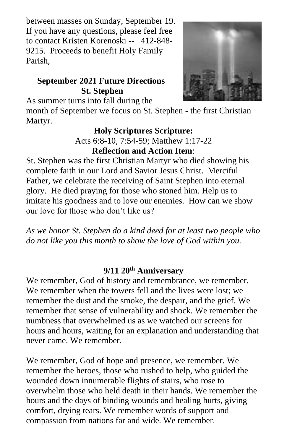between masses on Sunday, September 19. If you have any questions, please feel free to contact Kristen Korenoski -- 412-848- 9215. Proceeds to benefit Holy Family Parish,

## **September 2021 Future Directions St. Stephen**



As summer turns into fall during the

month of September we focus on St. Stephen - the first Christian Martyr.

#### **Holy Scriptures Scripture:** Acts 6:8-10, 7:54-59; Matthew 1:17-22

**Reflection and Action Item**:

St. Stephen was the first Christian Martyr who died showing his complete faith in our Lord and Savior Jesus Christ. Merciful Father, we celebrate the receiving of Saint Stephen into eternal glory. He died praying for those who stoned him. Help us to imitate his goodness and to love our enemies. How can we show our love for those who don't like us?

*As we honor St. Stephen do a kind deed for at least two people who do not like you this month to show the love of God within you.*

### **9/11 20th Anniversary**

We remember, God of history and remembrance, we remember. We remember when the towers fell and the lives were lost; we remember the dust and the smoke, the despair, and the grief. We remember that sense of vulnerability and shock. We remember the numbness that overwhelmed us as we watched our screens for hours and hours, waiting for an explanation and understanding that never came. We remember.

We remember, God of hope and presence, we remember. We remember the heroes, those who rushed to help, who guided the wounded down innumerable flights of stairs, who rose to overwhelm those who held death in their hands. We remember the hours and the days of binding wounds and healing hurts, giving comfort, drying tears. We remember words of support and compassion from nations far and wide. We remember.